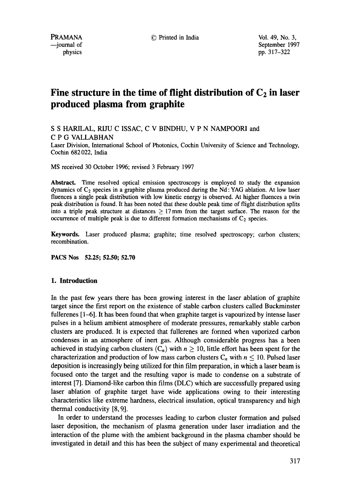PRAMANA © Printed in India Vol. 49, No. 3, September 1997 physics pp. 317–322

# Fine structure in the time of flight distribution of  $C_2$  in laser **produced plasma from graphite**

S S HARILAL, RIJU C ISSAC, C V BINDHU, V P N NAMPOORI and C P G VALLABHAN

Laser Division, International School of Photonics, Cochin University of Science and Technology, Cochin 682 022, India

MS received 30 October 1996; revised 3 February 1997

**Abstract.** Time resolved optical emission spectroscopy is employed to study the expansion dynamics of  $C_2$  species in a graphite plasma produced during the Nd : YAG ablation. At low laser fluences a single peak distribution with low kinetic energy is observed. At higher fluences a twin peak distribution is found. It has been noted that these double peak time of flight distribution splits into a triple peak structure at distances  $\geq$  17 mm from the target surface. The reason for the occurrence of multiple peak is due to different formation mechanisms of  $C_2$  species.

**Keywords.** Laser produced plasma; graphite; time resolved spectroscopy; carbon clusters; recombination.

**PACS Nos 52.25; 52.50; 52.70** 

# **I. Introduction**

In the past few years there has been growing interest in the laser ablation of graphite target since the first report on the existence of stable carbon clusters called Buckminster fullerenes [1-6]. It has been found that when graphite target is vapourized by intense laser pulses in a helium ambient atmosphere of moderate pressures, remarkably stable carbon clusters are produced. It is expected that fullerenes are formed when vaporized carbon condenses in an atmosphere of inert gas. Although considerable progress has a been achieved in studying carbon clusters  $(C_n)$  with  $n \ge 10$ , little effort has been spent for the characterization and production of low mass carbon clusters  $C_n$  with  $n \le 10$ . Pulsed laser deposition is increasingly being utilized for thin film preparation, in which a laser beam is focused onto the target and the resulting vapor is made to condense on a substrate of interest [7]. Diamond-like carbon thin films (DLC) which are successfully prepared using laser ablation of graphite target have wide applications owing to their interesting characteristics like extreme hardness, electrical insulation, optical transparency and high thermal conductivity [8, 9].

In order to understand the processes leading to carbon cluster formation and pulsed laser deposition, the mechanism of plasma generation under laser irradiation and the interaction of the plume with the ambient background in the plasma chamber should be investigated in detail and this has been the subject of many experimental and theoretical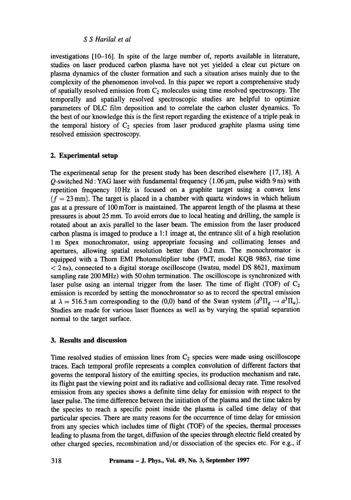## *S S Harilal et al*

investigations [10-16]. In spite of the large number of, reports available in literature, studies on laser produced carbon plasma have not yet yielded a clear cut picture on plasma dynamics of the cluster formation and such a situation arises mainly due to the complexity of the phenomenon involved. In this paper we report a comprehensive study of spatially resolved emission from  $C_2$  molecules using time resolved spectroscopy. The temporally and spatially resolved spectroscopic studies are helpful to optimize parameters of DLC film deposition and to correlate the carbon cluster dynamics. To the best of our knowledge this is the first report regarding the existence of a triple peak in the temporal history of  $C_2$  species from laser produced graphite plasma using time resolved emission spectroscopy.

## **2. Experimental setup**

The experimental setup for the present study has been described elsewhere [17, 18]. A  $Q$ -switched Nd : YAG laser with fundamental frequency (1.06  $\mu$ m, pulse width 9 ns) with repetition frequency 10Hz is focused on a graphite target using a convex lens  $(f = 23 \text{ mm})$ . The target is placed in a chamber with quartz windows in which helium gas at a pressure of 100 mTorr is maintained. The apparent length of the plasma at these pressures is about 25 mm. To avoid errors due to local heating and drilling, the sample is rotated about an axis parallel to the laser beam. The emission from the laser produced carbon plasma is imaged to produce a 1:1 image at, the entrance slit of a high resolution 1 m Spex monochromator, using appropriate focusing and collimating lenses and apertures, allowing spatial resolution better than 0.2mm. The monochromator is equipped with a Thorn EMI Photomultiplier tube (PMT, model KQB 9863, rise time  $<$  2 ns), connected to a digital storage oscilloscope (Iwatsu, model DS 8621, maximum sampling rate 200 MHz) with 50 ohm termination. The oscilloscope is synchronized with laser pulse using an internal trigger from the laser. The time of flight (TOF) of  $C_2$ emission is recorded by setting the monochromator so as to record the spectral emission at  $\lambda = 516.5$  nm corresponding to the (0,0) band of the Swan system  $(d^{3}\Pi_{g} \rightarrow a^{3}\Pi_{u})$ . Studies are made for various laser fluences as well as by varying the spatial separation normal to the target surface.

## **3. Results and discussion**

Time resolved studies of emission lines from  $C_2$  species were made using oscilloscope traces. Each temporal profile represents a complex convolution of different factors that governs the temporal history of the emitting species, its production mechanism and rate, its flight past the viewing point and its radiative and collisional decay rate. Time resolved emission from any species shows a definite time delay for emission with respect to the laser pulse. The time difference between the initiation of the plasma and the time taken by the species to reach a specific point inside the plasma is called time delay of that particular species. There are many reasons for the occurrence of time delay for emission from any species which includes time of flight (TOF) of the species, thermal processes leading to plasma from the target, diffusion of the species through electric field created by other charged species, recombination and/or dissociation of the species etc. For e.g., if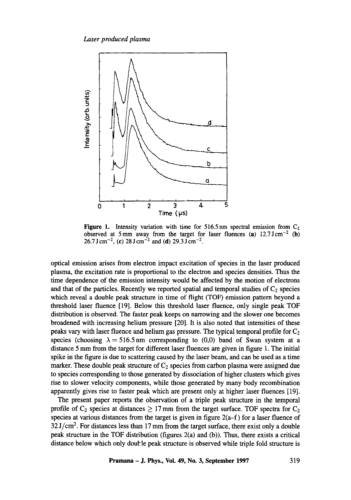*Laser produced Plasma* 



**Figure 1.** Intensity variation with time for 516.5 nm spectral emission from  $C_2$ observed at 5 mm away from the target for laser fluences (a)  $12.7 \text{ J cm}^{-2}$  (b)  $26.7 \text{ J cm}^{-2}$ , (c)  $28 \text{ J cm}^{-2}$  and (d)  $29.3 \text{ J cm}^{-2}$ .

optical emission arises from electron impact excitation of species in the laser produced plasma, the excitation rate is proportional to the electron and species densities. Thus the time dependence of the emission intensity would be affected by the motion of electrons and that of the particles. Recently we reported spatial and temporal studies of  $C_2$  species which reveal a double peak structure in time of flight (TOF) emission pattern beyond a threshold laser fluence [19]. Below this threshold laser fluence, only single peak TOF distribution is observed. The faster peak keeps on narrowing and the slower one becomes broadened with increasing helium pressure [20]. It is also noted that intensities of these peaks vary with laser fluence and helium gas pressure. The typical temporal profile for  $C_2$ species (choosing  $\lambda = 516.5$  nm corresponding to (0,0) band of Swan system at a distance 5 mm from the target for different laser fluences are given in figure 1. The initial spike in the figure is due to scattering caused by the laser beam, and can be used as a time marker. These double peak structure of  $C_2$  species from carbon plasma were assigned due to species corresponding to those generated by dissociation of higher clusters which gives rise to slower velocity components, while those generated by many body recombination apparently gives rise to faster peak which are present only at higher laser fluences [19].

The present paper reports the observation of a triple peak structure in the temporal profile of  $C_2$  species at distances  $\geq 17$  mm from the target surface. TOF spectra for  $C_2$ species at various distances from the target is given in figure 2(a-f) for a laser fluence of  $32 \text{ J/cm}^2$ . For distances less than 17 mm from the target surface, there exist only a double peak structure in the TOF distribution (figures 2(a) and (b)). Thus, there exists a critical distance below which only double peak structure is observed while triple fold structure is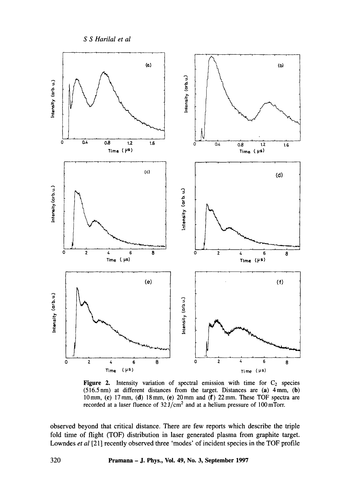*S S Harilal et al* 



**Figure 2.** Intensity variation of spectral emission with time for  $C_2$  species **(516.5nm) at different distances from the target. Distances are (a) 4mm, (b)**  10 mm, (c) 17 mm, (d) 18 mm, (e) 20 mm and (f) 22 mm. These TOF spectra are recorded at a laser fluence of  $32 \text{ J/cm}^2$  and at a helium pressure of  $100 \text{ mT}$ orr.

**observed beyond that critical distance. There are few reports which describe the triple fold time of flight (TOF) distribution in laser generated plasma from graphite target.**  Lowndes *et al* [21] recently observed three 'modes' of incident species in the TOF profile

**320 Pramana - J. Phys., Vol. 49, No. 3, September 1997**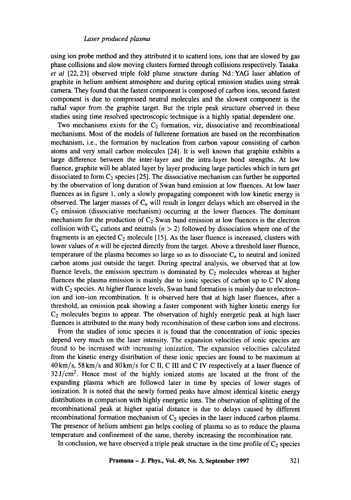### *Laser produced plasma*

using ion probe method and they attributed it to scatterd ions, ions that are slowed by gas phase collisions and slow moving clusters formed through collisions respectively. Tasaka *et al* [22, 23] observed triple fold plume structure during Nd:YAG laser ablation of graphite in helium ambient atmosphere and during optical emission studies using streak camera. They found that the fastest component is composed of carbon ions, second fastest component is due to compressed neutral molecules and the slowest component is the radial vapor from the graphite target. But the triple peak structure observed in these studies using time resolved spectroscopic technique is a highly spatial dependent one.

Two mechanisms exists for the  $C_2$  formation, viz, dissociative and recombinational mechanisms. Most of the models of fullerene formation are based on the recombination mechanism, i.e., the formation by nucleation from carbon vapour consisting of carbon atoms and very small carbon molecules [24]. It is well known that graphite exhibits a large difference between the inter-layer and the intra-layer bond strengths. At low fluence, graphite will be ablated layer by layer producing large particles which in turn get dissociated to form  $C_2$  species [25]. The dissociative mechanism can further be supported by the observation of long duration of Swan band emission at low fluences. At low laser fluences as in figure 1, only a slowly propagating component with low kinetic energy is observed. The larger masses of  $C_n$  will result in longer delays which are observed in the  $C_2$  emission (dissociative mechanism) occurring at the lower fluences. The dominant mechanism for the production of  $C_2$  Swan band emission at low fluences is the electron collision with  $C_n$  cations and neutrals  $(n > 2)$  followed by dissociation where one of the fragments is an ejected  $C_2$  molecule [15]. As the laser fluence is increased, clusters with lower values of *n* will be ejected directly from the target. Above a threshold laser fluence, temperature of the plasma becomes so large so as to dissociate  $C_n$  to neutral and ionized carbon atoms just outside the target. During spectral analysis, we observed that at low fluence levels, the emission spectrum is dominated by  $C_2$  molecules whereas at higher fluences the plasma emission is mainly due to ionic species of carbon up to C IV along with  $C_2$  species. At higher fluence levels, Swan band formation is mainly due to electronion and ion-ion recombination. It is observed here that at high laser fluences, after a threshold, an emission peak showing a faster component with higher kinetic energy for  $C_2$  molecules begins to appear. The observation of highly energetic peak at high laser fluences is attributed to the many body recombination of these carbon ions and electrons.

From the studies of ionic species it is found that the concentration of ionic species depend very much on the laser intensity. The expansion velocities of ionic species are found to be increased with increasing ionization. The expansion velocities calculated from the kinetic energy distribution of these ionic species are found to be maximum at 40 km/s, 58 km/s and 80 km/s for C II, C III and C IV respectively at a laser fluence of  $32J/cm<sup>2</sup>$ . Hence most of the highly ionized atoms are located at the front of the expanding plasma which are followed later in time by species of lower stages of ionization. It is noted that the newly formed peaks have almost identical kinetic energy distributions in comparison with highly energetic ions. The observation of splitting of the recombinational peak at higher spatial distance is due to delays caused by different recombinational formation mechanism of  $C_2$  species in the laser induced carbon plasma. The presence of helium ambient gas helps cooling of plasma so as to reduce the plasma temperature and confinement of the same, thereby increasing the recombination rate.

In conclusion, we have observed a triple peak structure in the time profile of  $C_2$  species